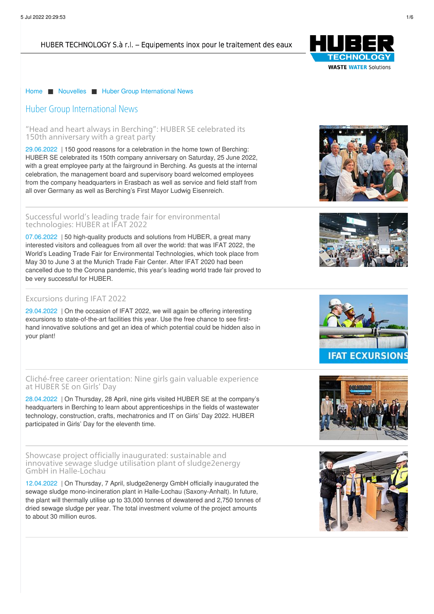# HUBER TECHNOLOGY S.à r.l. - Equipements inox pour le traitement des eaux



## [Home](/fr.html) ■ [Nouvelles](/fr/nouvelles.html) ■ Huber Group [International](/fr/nouvelles/huber-group-international-news.html) News

# Huber Group International News

"Head and heart always in Berching": HUBER SE [celebrated](/fr/nouvelles/huber-group-international-news/news-article/news/head-and-heart-always-in-berching-huber-se-celebrated-its-150th-anniversary-with-a-great-party.html) its 150th anniversary with a great party

[29.06.2022](/fr/nouvelles/huber-group-international-news/news-article/news/head-and-heart-always-in-berching-huber-se-celebrated-its-150th-anniversary-with-a-great-party.html) | 150 good reasons for a celebration in the home town of Berching: HUBER SE celebrated its 150th company anniversary on Saturday, 25 June 2022, with a great employee party at the fairground in Berching. As guests at the internal celebration, the management board and supervisory board welcomed employees from the company headquarters in Erasbach as well as service and field staff from all over Germany as well as Berching's First Mayor Ludwig Eisenreich.

#### Successful world's leading trade fair for [environmental](/fr/nouvelles/huber-group-international-news/news-article/news/successful-worlds-leading-trade-fair-for-environmental-technologies-huber-at-ifat-2022.html) technologies: HUBER at IFAT 2022

[07.06.2022](/fr/nouvelles/huber-group-international-news/news-article/news/successful-worlds-leading-trade-fair-for-environmental-technologies-huber-at-ifat-2022.html) | 50 high-quality products and solutions from HUBER, a great many interested visitors and colleagues from all over the world: that was IFAT 2022, the World's Leading Trade Fair for Environmental Technologies, which took place from May 30 to June 3 at the Munich Trade Fair Center. After IFAT 2020 had been cancelled due to the Corona pandemic, this year's leading world trade fair proved to be very successful for HUBER.

### [Excursions](https://www.huber.de/fr/actualites/huber-news/excursions-during-ifat-2022.html) during IFAT 2022

[29.04.2022](https://www.huber.de/fr/actualites/huber-news/excursions-during-ifat-2022.html) | On the occasion of IFAT 2022, we will again be offering interesting excursions to state-of-the-art facilities this year. Use the free chance to see firsthand innovative solutions and get an idea of which potential could be hidden also in your plant!

# Cliché-free career [orientation:](/fr/nouvelles/huber-group-international-news/news-article/news/cliche-free-career-orientation-nine-girls-gain-valuable-experience-at-huber-se-on-girls-day.html) Nine girls gain valuable experience at HUBER SE on Girls' Day

[28.04.2022](/fr/nouvelles/huber-group-international-news/news-article/news/cliche-free-career-orientation-nine-girls-gain-valuable-experience-at-huber-se-on-girls-day.html) | On Thursday, 28 April, nine girls visited HUBER SE at the company's headquarters in Berching to learn about apprenticeships in the fields of wastewater technology, construction, crafts, mechatronics and IT on Girls' Day 2022. HUBER participated in Girls' Day for the eleventh time.

Showcase project officially inaugurated: sustainable and innovative sewage sludge utilisation plant of [sludge2energy](/fr/nouvelles/huber-group-international-news/news-article/news/showcase-project-officially-inaugurated-sustainable-and-innovative-sewage-sludge-utilisation-plant.html) GmbH in Halle-Lochau

[12.04.2022](/fr/nouvelles/huber-group-international-news/news-article/news/showcase-project-officially-inaugurated-sustainable-and-innovative-sewage-sludge-utilisation-plant.html) | On Thursday, 7 April, sludge2energy GmbH officially inaugurated the sewage sludge mono-incineration plant in Halle-Lochau (Saxony-Anhalt). In future, the plant will [thermall](/fr/mentions-juridiques.html)y utilise up to 33,000 tonnes of dewatered and 2,750 tonnes of dried [sewage](#) sludge per year. The total investment volume of the project amounts to about 30 million euros.









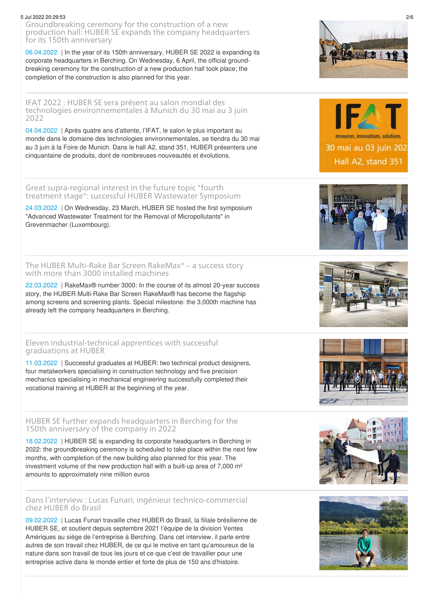#### 5 Jul 2022 20:29:53 2/6

[Groundbreaking](/fr/nouvelles/huber-group-international-news/news-article/news/groundbreaking-ceremony-for-the-construction-of-a-new-production-hall-huber-se-expands-the-company.html) ceremony for the construction of a new production hall: HUBER SE expands the company headquarters for its 150th anniversary

[06.04.2022](/fr/nouvelles/huber-group-international-news/news-article/news/groundbreaking-ceremony-for-the-construction-of-a-new-production-hall-huber-se-expands-the-company.html) | In the year of its 150th anniversary, HUBER SE 2022 is expanding its corporate headquarters in Berching. On Wednesday, 6 April, the official groundbreaking ceremony for the construction of a new production hall took place; the completion of the construction is also planned for this year.

IFAT 2022 : HUBER SE sera présent au salon mondial des technologies [environnementales](/fr/nouvelles/huber-group-international-news/huber-se-sera-present-au-salon-mondial-des-technologies-environnementales-a-munich-du-30-mai-au-3-juin-2022.html) à Munich du 30 mai au 3 juin 2022

[04.04.2022](/fr/nouvelles/huber-group-international-news/huber-se-sera-present-au-salon-mondial-des-technologies-environnementales-a-munich-du-30-mai-au-3-juin-2022.html) | Après quatre ans d'attente, l'IFAT, le salon le plus important au monde dans le domaine des technologies environnementales, se tiendra du 30 mai au 3 juin à la Foire de Munich. Dans le hall A2, stand 351, HUBER présentera une cinquantaine de produits, dont de nombreuses nouveautés et évolutions.

Great [supra-regional](/fr/nouvelles/huber-group-international-news/news-article/news/great-supra-regional-interest-in-the-future-topic-fourth-treatment-stage-successful-huber-wastewa.html) interest in the future topic "fourth treatment stage": successful HUBER Wastewater Symposium

[24.03.2022](/fr/nouvelles/huber-group-international-news/news-article/news/great-supra-regional-interest-in-the-future-topic-fourth-treatment-stage-successful-huber-wastewa.html) | On Wednesday, 23 March, HUBER SE hosted the first symposium "Advanced Wastewater Treatment for the Removal of Micropollutants" in Grevenmacher (Luxembourg).

The HUBER [Multi-Rake](https://www.huber.de/fr/huber-report/ablage-berichte/screens/le-degrilleur-rotatif-a-rateaux-rakemaxr-de-huber-une-histoire-a-succes-avec-plus-de-3000-machines-installees.html) Bar Screen RakeMax® – a success story with more than 3000 installed machines

[22.03.2022](https://www.huber.de/fr/huber-report/ablage-berichte/screens/le-degrilleur-rotatif-a-rateaux-rakemaxr-de-huber-une-histoire-a-succes-avec-plus-de-3000-machines-installees.html) | RakeMax® number 3000: In the course of its almost 20-year success story, the HUBER Multi-Rake Bar Screen RakeMax® has become the flagship among screens and screening plants. Special milestone: the 3,000th machine has already left the company headquarters in Berching.

Eleven [industrial-technical](/fr/nouvelles/huber-group-international-news/news-article/news/eleven-industrial-technical-apprentices-with-successful-graduations-at-huber.html) apprentices with successful graduations at HUBER

[11.03.2022](/fr/nouvelles/huber-group-international-news/news-article/news/eleven-industrial-technical-apprentices-with-successful-graduations-at-huber.html) | Successful graduates at HUBER: two technical product designers, four metalworkers specialising in construction technology and five precision mechanics specialising in mechanical engineering successfully completed their vocational training at HUBER at the beginning of the year.

HUBER SE further expands [headquarters](/fr/nouvelles/huber-group-international-news/news-article/news/huber-se-further-expands-headquarters-in-berching-for-the-150th-anniversary-of-the-company-in-2022.html) in Berching for the 150th anniversary of the company in 2022

[18.02.2022](/fr/nouvelles/huber-group-international-news/news-article/news/huber-se-further-expands-headquarters-in-berching-for-the-150th-anniversary-of-the-company-in-2022.html) | HUBER SE is expanding its corporate headquarters in Berching in 2022: the groundbreaking ceremony is scheduled to take place within the next few months, with completion of the new building also planned for this year. The investment volume of the new production hall with a built-up area of 7,000 m² amounts to approximately nine million euros

### Dans l'interview : Lucas Funari, ingénieur [technico-commercial](/fr/nouvelles/huber-group-international-news/news-article/news/dans-linterview-lucas-funari-ingenieur-technico-commercial-chez-huber-do-brasil.html) chez HUBER do Brasil

[09.02.2022](/fr/nouvelles/huber-group-international-news/news-article/news/dans-linterview-lucas-funari-ingenieur-technico-commercial-chez-huber-do-brasil.html) | Lucas Funari travaille chez HUBER do Brasil, la filiale brésilienne de HUBER SE, et soutient depuis septembre 2021 l'équipe de la division Ventes Amériques au siège de l'entreprise à Berching. Dans cet interview, il parle entre autres de son travail chez HUBER, de ce qui le motive en tant qu'amoureux de la nature dans son travail de tous les jours et ce que c'est de travailler pour une entreprise active dans le monde entier et forte de plus de 150 ans d'histoire.



resources. innovations. solutions. 30 mai au 03 juin 202 Hall A2, stand 351









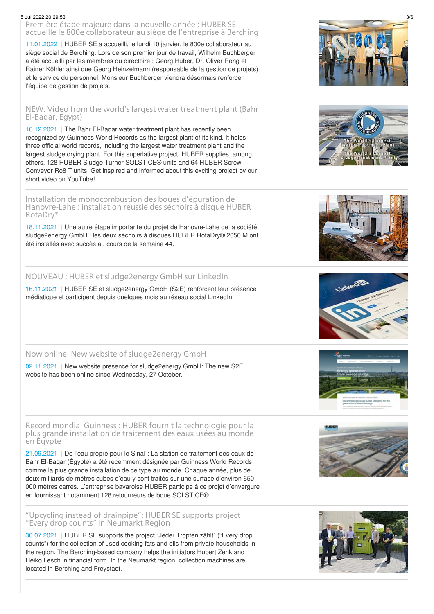#### 5 Jul 2022 20:29:53 3/6

Première étape majeure dans la nouvelle année : HUBER SE accueille le 800e [collaborateur](/fr/nouvelles/huber-group-international-news/news-article/news/premiere-etape-majeure-dans-la-nouvelle-annee-huber-se-accueille-le-800e-collaborateur-au-siege-de.html) au siège de l'entreprise à Berching

[11.01.2022](/fr/nouvelles/huber-group-international-news/news-article/news/premiere-etape-majeure-dans-la-nouvelle-annee-huber-se-accueille-le-800e-collaborateur-au-siege-de.html) | HUBER SE a accueilli, le lundi 10 janvier, le 800e collaborateur au siège social de Berching. Lors de son premier jour de travail, Wilhelm Buchberger a été accueilli par les membres du directoire : Georg Huber, Dr. Oliver Rong et Rainer Köhler ainsi que Georg Heinzelmann (responsable de la gestion de projets) et le service du personnel. Monsieur Buchberger viendra désormais renforcer l'équipe de gestion de projets.

# NEW: Video from the world's largest water [treatment](https://youtu.be/daYXd-sUwIE) plant (Bahr El-Baqar, Egypt)

[16.12.2021](https://youtu.be/daYXd-sUwIE) | The Bahr El-Baqar water treatment plant has recently been recognized by Guinness World Records as the largest plant of its kind. It holds three official world records, including the largest water treatment plant and the largest sludge drying plant. For this superlative project, HUBER supplies, among others, 128 HUBER Sludge Turner SOLSTICE® units and 64 HUBER Screw Conveyor Ro8 T units. Get inspired and informed about this exciting project by our short video on YouTube!

Installation de [monocombustion](/fr/nouvelles/huber-group-international-news/news-article/news/installation-de-monocombustion-des-boues-depuration-de-hanovre-lahe-installation-reussie-des-sech.html) des boues d'épuration de Hanovre-Lahe : installation réussie des séchoirs à disque HUBER RotaDry®

[18.11.2021](/fr/nouvelles/huber-group-international-news/news-article/news/installation-de-monocombustion-des-boues-depuration-de-hanovre-lahe-installation-reussie-des-sech.html) | Une autre étape importante du projet de Hanovre-Lahe de la société sludge2energy GmbH : les deux séchoirs à disques HUBER RotaDry® 2050 M ont été installés avec succès au cours de la semaine 44.

# NOUVEAU : HUBER et [sludge2energy](/fr/nouvelles/huber-group-international-news/news-article/news/nouveau-huber-et-sludge2energy-gmbh-sur-linkedin.html) GmbH sur LinkedIn

[16.11.2021](/fr/nouvelles/huber-group-international-news/news-article/news/nouveau-huber-et-sludge2energy-gmbh-sur-linkedin.html) | HUBER SE et sludge2energy GmbH (S2E) renforcent leur présence médiatique et participent depuis quelques mois au réseau social LinkedIn.

Now online: New website of [sludge2energy](/fr/nouvelles/huber-group-international-news/news-article/news/now-online-new-website-of-sludge2energy-gmbh.html) GmbH

[02.11.2021](/fr/nouvelles/huber-group-international-news/news-article/news/now-online-new-website-of-sludge2energy-gmbh.html) | New website presence for sludge2energy GmbH: The new S2E website has been online since Wednesday, 27 October.

Record mondial Guinness : HUBER fournit la [technologie](/fr/nouvelles/huber-group-international-news/news-article/news/record-mondial-guinness-huber-fournit-la-technologie-pour-la-plus-grande-installation-de-traitemen.html) pour la plus grande installation de traitement des eaux usées au monde en Égypte

[21.09.2021](/fr/nouvelles/huber-group-international-news/news-article/news/record-mondial-guinness-huber-fournit-la-technologie-pour-la-plus-grande-installation-de-traitemen.html) | De l'eau propre pour le Sinaï : La station de traitement des eaux de Bahr El-Baqar (Égypte) a été récemment désignée par Guinness World Records comme la plus grande installation de ce type au monde. Chaque année, plus de deux milliards de mètres cubes d'eau y sont traités sur une surface d'environ 650 000 mètres carrés. L'entreprise bavaroise HUBER participe à ce projet d'envergure en fournissant notamment 128 retourneurs de boue SOLSTICE®.

## "Upcycling instead of [drainpipe":](/fr/nouvelles/huber-group-international-news/news-article/news/upcycling-instead-of-drainpipe-huber-se-supports-project-every-drop-counts-in-neumarkt-region.html) HUBER SE supports project "Every drop counts" in Neumarkt Region

[30.07.2021](/fr/nouvelles/huber-group-international-news/news-article/news/upcycling-instead-of-drainpipe-huber-se-supports-project-every-drop-counts-in-neumarkt-region.html) | HUBER SE supports the project "Jeder Tropfen zählt" ("Every drop counts") for the collection of used cooking fats and oils from private households in the region. The Berching-based company helps the initiators Hubert Zenk and Heiko Lesch in financial form. In the Neumarkt region, collection machines are located in Berching and Freystadt.













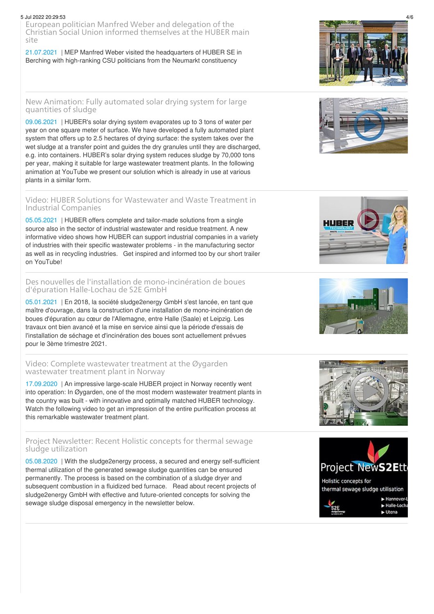#### 5 Jul 2022 20:29:53 4/6

European politician Manfred Weber and delegation of the Christian Social Union informed [themselves](/fr/nouvelles/huber-group-international-news/news-article/news/european-politician-manfred-weber-and-delegation-of-the-christian-social-union-informed-themselves-a.html) at the HUBER main site

[21.07.2021](/fr/nouvelles/huber-group-international-news/news-article/news/european-politician-manfred-weber-and-delegation-of-the-christian-social-union-informed-themselves-a.html) | MEP Manfred Weber visited the headquarters of HUBER SE in Berching with high-ranking CSU politicians from the Neumarkt constituency

#### New [Animation:](https://youtu.be/T-FUbjSzMZE) Fully automated solar drying system for large quantities of sludge

[09.06.2021](https://youtu.be/T-FUbjSzMZE) | HUBER's solar drying system evaporates up to 3 tons of water per year on one square meter of surface. We have developed a fully automated plant system that offers up to 2.5 hectares of drying surface: the system takes over the wet sludge at a transfer point and guides the dry granules until they are discharged, e.g. into containers. HUBER's solar drying system reduces sludge by 70,000 tons per year, making it suitable for large wastewater treatment plants. In the following animation at YouTube we present our solution which is already in use at various plants in a similar form.

## Video: HUBER Solutions for [Wastewater](https://youtu.be/t3ZB9VT1XTU) and Waste Treatment in Industrial Companies

[05.05.2021](https://youtu.be/t3ZB9VT1XTU) | HUBER offers complete and tailor-made solutions from a single source also in the sector of industrial wastewater and residue treatment. A new informative video shows how HUBER can support industrial companies in a variety of industries with their specific wastewater problems - in the manufacturing sector as well as in recycling industries. Get inspired and informed too by our short trailer on YouTube!

### Des nouvelles de l'installation de [mono-incinération](/fr/nouvelles/huber-group-international-news/news-article/news/des-nouvelles-de-linstallation-de-mono-incineration-de-boues-depuration-halle-lochau-de-s2e-gmbh.html) de boues d'épuration Halle-Lochau de S2E GmbH

[05.01.2021](/fr/nouvelles/huber-group-international-news/news-article/news/des-nouvelles-de-linstallation-de-mono-incineration-de-boues-depuration-halle-lochau-de-s2e-gmbh.html) | En 2018, la société sludge2energy GmbH s'est lancée, en tant que maître d'ouvrage, dans la construction d'une installation de mono-incinération de boues d'épuration au cœur de l'Allemagne, entre Halle (Saale) et Leipzig. Les travaux ont bien avancé et la mise en service ainsi que la période d'essais de l'installation de séchage et d'incinération des boues sont actuellement prévues pour le 3ème trimestre 2021.

#### Video: Complete [wastewater](https://youtu.be/KU2awn3DP68) treatment at the Øygarden wastewater treatment plant in Norway

[17.09.2020](https://youtu.be/KU2awn3DP68) | An impressive large-scale HUBER project in Norway recently went into operation: In Øygarden, one of the most modern wastewater treatment plants in the country was built - with innovative and optimally matched HUBER technology. Watch the following video to get an impression of the entire purification process at this remarkable wastewater treatment plant.

## Project [Newsletter:](https://www.sludge2energy.de/fileadmin/huber-sludge2energy/documents/projektnewsletter_s2e_en.pdf) Recent Holistic concepts for thermal sewage sludge utilization

[05.08.2020](https://www.sludge2energy.de/fileadmin/huber-sludge2energy/documents/projektnewsletter_s2e_en.pdf) | With the sludge2energy process, a secured and energy self-sufficient thermal utilization of the generated sewage sludge quantities can be ensured permanently. The process is based on the combination of a sludge dryer and subsequent combustion in a fluidized bed furnace. Read about recent projects of sludge2energy GmbH with effective and future-oriented concepts for solving the sewage sludge disposal emergency in the newsletter below.











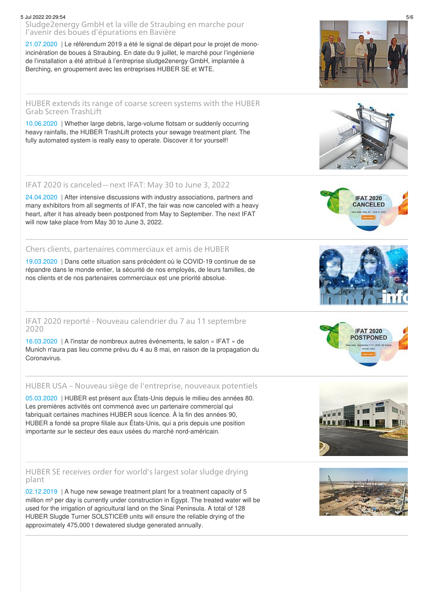# 5 Jul 2022 20:29:54 5/6

[Sludge2energy](/fr/nouvelles/huber-group-international-news/news-article/news/sludge2energy-gmbh-et-la-ville-de-straubing-en-marche-pour-lavenir-des-boues-depurations-en-bavier.html) GmbH et la ville de Straubing en marche pour l'avenir des boues d'épurations en Bavière

[21.07.2020](/fr/nouvelles/huber-group-international-news/news-article/news/sludge2energy-gmbh-et-la-ville-de-straubing-en-marche-pour-lavenir-des-boues-depurations-en-bavier.html) | Le référendum 2019 a été le signal de départ pour le projet de monoincinération de boues à Straubing. En date du 9 juillet, le marché pour l'ingénierie de l'installation a été attribué à l'entreprise sludge2energy GmbH, implantée à Berching, en groupement avec les entreprises HUBER SE et WTE.

# HUBER [extends](https://www.huber.de/fr/huber-report/ablage-berichte/screens/huber-etend-sa-gamme-des-degrilleurs-grossiers-avec-le-degrilleur-a-godets-trashlift-huber.html) its range of coarse screen systems with the HUBER Grab Screen TrashLift

[10.06.2020](https://www.huber.de/fr/huber-report/ablage-berichte/screens/huber-etend-sa-gamme-des-degrilleurs-grossiers-avec-le-degrilleur-a-godets-trashlift-huber.html) | Whether large debris, large-volume flotsam or suddenly occurring heavy rainfalls, the HUBER TrashLift protects your sewage treatment plant. The fully automated system is really easy to operate. Discover it for yourself!

# IFAT 2020 is [canceled—next](/fr/nouvelles/huber-group-international-news/news-article/news/ifat-2020-is-canceled-next-ifat-may-30-to-june-3-2022.html) IFAT: May 30 to June 3, 2022

[24.04.2020](/fr/nouvelles/huber-group-international-news/news-article/news/ifat-2020-is-canceled-next-ifat-may-30-to-june-3-2022.html) | After intensive discussions with industry associations, partners and many exhibitors from all segments of IFAT, the fair was now canceled with a heavy heart, after it has already been postponed from May to September. The next IFAT will now take place from May 30 to June 3, 2022.

# Chers clients, partenaires [commerciaux](/fr/nouvelles/huber-group-international-news/news-article/news/chers-clients-partenaires-commerciaux-et-amis-de-huber.html) et amis de HUBER

[19.03.2020](/fr/nouvelles/huber-group-international-news/news-article/news/chers-clients-partenaires-commerciaux-et-amis-de-huber.html) | Dans cette situation sans précédent où le COVID-19 continue de se répandre dans le monde entier, la sécurité de nos employés, de leurs familles, de nos clients et de nos partenaires commerciaux est une priorité absolue.

# IFAT 2020 reporté - Nouveau calendrier du 7 au 11 [septembre](/fr/nouvelles/huber-group-international-news/news-article/news/ifat-2020-reporte-nouveau-calendrier-du-7-au-11-septembre-2020.html) 2020

[16.03.2020](/fr/nouvelles/huber-group-international-news/news-article/news/ifat-2020-reporte-nouveau-calendrier-du-7-au-11-septembre-2020.html) | A l'instar de nombreux autres événements, le salon « IFAT » de Munich n'aura pas lieu comme prévu du 4 au 8 mai, en raison de la propagation du Coronavirus.

# HUBER USA – Nouveau siège de [l'entreprise,](/fr/nouvelles/huber-group-international-news/news-article/news/huber-usa-nouveau-siege-de-lentreprise-nouveaux-potentiels.html) nouveaux potentiels

[05.03.2020](/fr/nouvelles/huber-group-international-news/news-article/news/huber-usa-nouveau-siege-de-lentreprise-nouveaux-potentiels.html) | HUBER est présent aux États-Unis depuis le milieu des années 80. Les premières activités ont commencé avec un partenaire commercial qui fabriquait certaines machines HUBER sous licence. À la fin des années 90, HUBER a fondé sa propre filiale aux États-Unis, qui a pris depuis une position importante sur le secteur des eaux usées du marché nord-américain.

## HUBER SE [receives](https://www.huber.de/fr/huber-report/ablage-berichte/sludge-treatment/huber-se-decroche-le-contrat-pour-la-plus-grande-installation-de-sechage-solaire-au-monde.html) order for world's largest solar sludge drying plant

[02.12.2019](https://www.huber.de/fr/huber-report/ablage-berichte/sludge-treatment/huber-se-decroche-le-contrat-pour-la-plus-grande-installation-de-sechage-solaire-au-monde.html) | A huge new sewage treatment plant for a treatment capacity of 5 million m<sup>3</sup> per day is currently under construction in Egypt. The treated water will be used for the irrigation of agricultural land on the Sinai Peninsula. A total of 128 HUBER Slugde Turner SOLSTICE® units will ensure the reliable drying of the approximately 475,000 t dewatered sludge generated annually.





**POSTPONED**